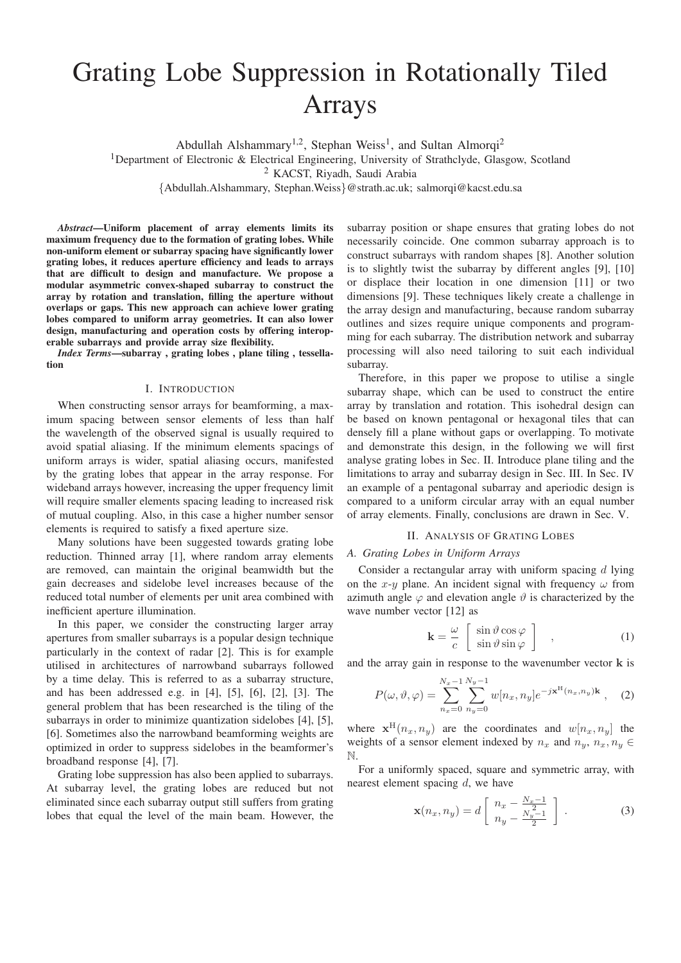# Grating Lobe Suppression in Rotationally Tiled Arrays

Abdullah Alshammary<sup>1,2</sup>, Stephan Weiss<sup>1</sup>, and Sultan Almorqi<sup>2</sup>

<sup>1</sup>Department of Electronic & Electrical Engineering, University of Strathclyde, Glasgow, Scotland

<sup>2</sup> KACST, Riyadh, Saudi Arabia

{Abdullah.Alshammary, Stephan.Weiss}@strath.ac.uk; salmorqi@kacst.edu.sa

*Abstract*—Uniform placement of array elements limits its maximum frequency due to the formation of grating lobes. While non-uniform element or subarray spacing have significantly lower grating lobes, it reduces aperture efficiency and leads to arrays that are difficult to design and manufacture. We propose a modular asymmetric convex-shaped subarray to construct the array by rotation and translation, filling the aperture without overlaps or gaps. This new approach can achieve lower grating lobes compared to uniform array geometries. It can also lower design, manufacturing and operation costs by offering interoperable subarrays and provide array size flexibility.

*Index Terms*—subarray , grating lobes , plane tiling , tessellation

#### I. INTRODUCTION

When constructing sensor arrays for beamforming, a maximum spacing between sensor elements of less than half the wavelength of the observed signal is usually required to avoid spatial aliasing. If the minimum elements spacings of uniform arrays is wider, spatial aliasing occurs, manifested by the grating lobes that appear in the array response. For wideband arrays however, increasing the upper frequency limit will require smaller elements spacing leading to increased risk of mutual coupling. Also, in this case a higher number sensor elements is required to satisfy a fixed aperture size.

Many solutions have been suggested towards grating lobe reduction. Thinned array [1], where random array elements are removed, can maintain the original beamwidth but the gain decreases and sidelobe level increases because of the reduced total number of elements per unit area combined with inefficient aperture illumination.

In this paper, we consider the constructing larger array apertures from smaller subarrays is a popular design technique particularly in the context of radar [2]. This is for example utilised in architectures of narrowband subarrays followed by a time delay. This is referred to as a subarray structure, and has been addressed e.g. in [4], [5], [6], [2], [3]. The general problem that has been researched is the tiling of the subarrays in order to minimize quantization sidelobes [4], [5], [6]. Sometimes also the narrowband beamforming weights are optimized in order to suppress sidelobes in the beamformer's broadband response [4], [7].

Grating lobe suppression has also been applied to subarrays. At subarray level, the grating lobes are reduced but not eliminated since each subarray output still suffers from grating lobes that equal the level of the main beam. However, the subarray position or shape ensures that grating lobes do not necessarily coincide. One common subarray approach is to construct subarrays with random shapes [8]. Another solution is to slightly twist the subarray by different angles [9], [10] or displace their location in one dimension [11] or two dimensions [9]. These techniques likely create a challenge in the array design and manufacturing, because random subarray outlines and sizes require unique components and programming for each subarray. The distribution network and subarray processing will also need tailoring to suit each individual subarray.

Therefore, in this paper we propose to utilise a single subarray shape, which can be used to construct the entire array by translation and rotation. This isohedral design can be based on known pentagonal or hexagonal tiles that can densely fill a plane without gaps or overlapping. To motivate and demonstrate this design, in the following we will first analyse grating lobes in Sec. II. Introduce plane tiling and the limitations to array and subarray design in Sec. III. In Sec. IV an example of a pentagonal subarray and aperiodic design is compared to a uniform circular array with an equal number of array elements. Finally, conclusions are drawn in Sec. V.

# II. ANALYSIS OF GRATING LOBES

# *A. Grating Lobes in Uniform Arrays*

Consider a rectangular array with uniform spacing  $d$  lying on the x-y plane. An incident signal with frequency  $\omega$  from azimuth angle  $\varphi$  and elevation angle  $\vartheta$  is characterized by the wave number vector [12] as

$$
\mathbf{k} = \frac{\omega}{c} \begin{bmatrix} \sin \vartheta \cos \varphi \\ \sin \vartheta \sin \varphi \end{bmatrix} , \qquad (1)
$$

and the array gain in response to the wavenumber vector **k** is

$$
P(\omega, \vartheta, \varphi) = \sum_{n_x=0}^{N_x-1} \sum_{n_y=0}^{N_y-1} w[n_x, n_y] e^{-j\mathbf{x}^{\mathrm{H}}(n_x, n_y)\mathbf{k}}, \quad (2)
$$

where  $\mathbf{x}^{\text{H}}(n_x, n_y)$  are the coordinates and  $w[n_x, n_y]$  the weights of a sensor element indexed by  $n_x$  and  $n_y$ ,  $n_x$ ,  $n_y \in$ N.

For a uniformly spaced, square and symmetric array, with nearest element spacing d, we have

$$
\mathbf{x}(n_x, n_y) = d \left[ \begin{array}{c} n_x - \frac{N_x - 1}{2} \\ n_y - \frac{N_y - 1}{2} \end{array} \right] . \tag{3}
$$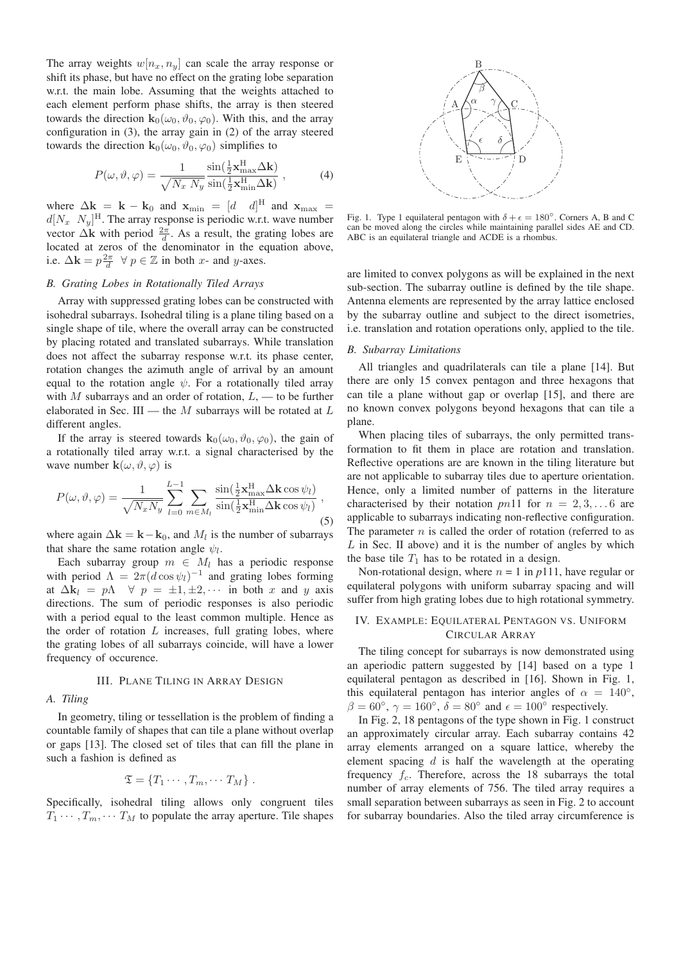The array weights  $w[n_x, n_y]$  can scale the array response or shift its phase, but have no effect on the grating lobe separation w.r.t. the main lobe. Assuming that the weights attached to each element perform phase shifts, the array is then steered towards the direction  $\mathbf{k}_0(\omega_0, \vartheta_0, \varphi_0)$ . With this, and the array configuration in (3), the array gain in (2) of the array steered towards the direction  $\mathbf{k}_0(\omega_0, \vartheta_0, \varphi_0)$  simplifies to

$$
P(\omega, \vartheta, \varphi) = \frac{1}{\sqrt{N_x N_y}} \frac{\sin(\frac{1}{2} \mathbf{x}_{\text{max}}^{\text{H}} \Delta \mathbf{k})}{\sin(\frac{1}{2} \mathbf{x}_{\text{min}}^{\text{H}} \Delta \mathbf{k})},
$$
(4)

where  $\Delta \mathbf{k} = \mathbf{k} - \mathbf{k}_0$  and  $\mathbf{x}_{\text{min}} = \begin{bmatrix} d & d \end{bmatrix}^H$  and  $\mathbf{x}_{\text{max}} =$  $d[N_x \ N_y]^{\text{H}}$ . The array response is periodic w.r.t. wave number vector  $\Delta \mathbf{k}$  with period  $\frac{2\pi}{d}$ . As a result, the grating lobes are located at zeros of the denominator in the equation above, i.e.  $\Delta \mathbf{k} = p \frac{2\pi}{d} \quad \forall \ p \in \mathbb{Z}$  in both x- and y-axes.

### *B. Grating Lobes in Rotationally Tiled Arrays*

Array with suppressed grating lobes can be constructed with isohedral subarrays. Isohedral tiling is a plane tiling based on a single shape of tile, where the overall array can be constructed by placing rotated and translated subarrays. While translation does not affect the subarray response w.r.t. its phase center, rotation changes the azimuth angle of arrival by an amount equal to the rotation angle  $\psi$ . For a rotationally tiled array with M subarrays and an order of rotation,  $L$ , — to be further elaborated in Sec. III — the  $M$  subarrays will be rotated at  $L$ different angles.

If the array is steered towards  $\mathbf{k}_0(\omega_0, \vartheta_0, \varphi_0)$ , the gain of a rotationally tiled array w.r.t. a signal characterised by the wave number  $\mathbf{k}(\omega, \vartheta, \varphi)$  is

$$
P(\omega, \vartheta, \varphi) = \frac{1}{\sqrt{N_x N_y}} \sum_{l=0}^{L-1} \sum_{m \in M_l} \frac{\sin(\frac{1}{2} \mathbf{x}_{\text{max}}^{\text{H}} \Delta \mathbf{k} \cos \psi_l)}{\sin(\frac{1}{2} \mathbf{x}_{\text{min}}^{\text{H}} \Delta \mathbf{k} \cos \psi_l)},
$$
(5)

where again  $\Delta \mathbf{k} = \mathbf{k} - \mathbf{k}_0$ , and  $M_l$  is the number of subarrays that share the same rotation angle  $\psi_l$ .

Each subarray group  $m \in M_l$  has a periodic response with period  $\Lambda = 2\pi (d \cos \psi_l)^{-1}$  and grating lobes forming at  $\Delta \mathbf{k}_l = p \Lambda \quad \forall \ p = \pm 1, \pm 2, \cdots$  in both x and y axis directions. The sum of periodic responses is also periodic with a period equal to the least common multiple. Hence as the order of rotation  $L$  increases, full grating lobes, where the grating lobes of all subarrays coincide, will have a lower frequency of occurence.

# III. PLANE TILING IN ARRAY DESIGN

*A. Tiling*

In geometry, tiling or tessellation is the problem of finding a countable family of shapes that can tile a plane without overlap or gaps [13]. The closed set of tiles that can fill the plane in such a fashion is defined as

$$
\mathfrak{T} = \{T_1 \cdots, T_m, \cdots T_M\}.
$$

Specifically, isohedral tiling allows only congruent tiles  $T_1 \cdots, T_m, \cdots T_M$  to populate the array aperture. Tile shapes



Fig. 1. Type 1 equilateral pentagon with  $\delta + \epsilon = 180^{\circ}$ . Corners A, B and C can be moved along the circles while maintaining parallel sides AE and CD. ABC is an equilateral triangle and ACDE is a rhombus.

are limited to convex polygons as will be explained in the next sub-section. The subarray outline is defined by the tile shape. Antenna elements are represented by the array lattice enclosed by the subarray outline and subject to the direct isometries, i.e. translation and rotation operations only, applied to the tile.

#### *B. Subarray Limitations*

All triangles and quadrilaterals can tile a plane [14]. But there are only 15 convex pentagon and three hexagons that can tile a plane without gap or overlap [15], and there are no known convex polygons beyond hexagons that can tile a plane.

When placing tiles of subarrays, the only permitted transformation to fit them in place are rotation and translation. Reflective operations are are known in the tiling literature but are not applicable to subarray tiles due to aperture orientation. Hence, only a limited number of patterns in the literature characterised by their notation  $p n 11$  for  $n = 2, 3, \ldots 6$  are applicable to subarrays indicating non-reflective configuration. The parameter  $n$  is called the order of rotation (referred to as  $L$  in Sec. II above) and it is the number of angles by which the base tile  $T_1$  has to be rotated in a design.

Non-rotational design, where  $n = 1$  in  $p111$ , have regular or equilateral polygons with uniform subarray spacing and will suffer from high grating lobes due to high rotational symmetry.

# IV. EXAMPLE: EQUILATERAL PENTAGON VS. UNIFORM CIRCULAR ARRAY

The tiling concept for subarrays is now demonstrated using an aperiodic pattern suggested by [14] based on a type 1 equilateral pentagon as described in [16]. Shown in Fig. 1, this equilateral pentagon has interior angles of  $\alpha = 140^{\circ}$ ,  $\beta = 60^{\circ}$ ,  $\gamma = 160^{\circ}$ ,  $\delta = 80^{\circ}$  and  $\epsilon = 100^{\circ}$  respectively.

In Fig. 2, 18 pentagons of the type shown in Fig. 1 construct an approximately circular array. Each subarray contains 42 array elements arranged on a square lattice, whereby the element spacing  $d$  is half the wavelength at the operating frequency  $f_c$ . Therefore, across the 18 subarrays the total number of array elements of 756. The tiled array requires a small separation between subarrays as seen in Fig. 2 to account for subarray boundaries. Also the tiled array circumference is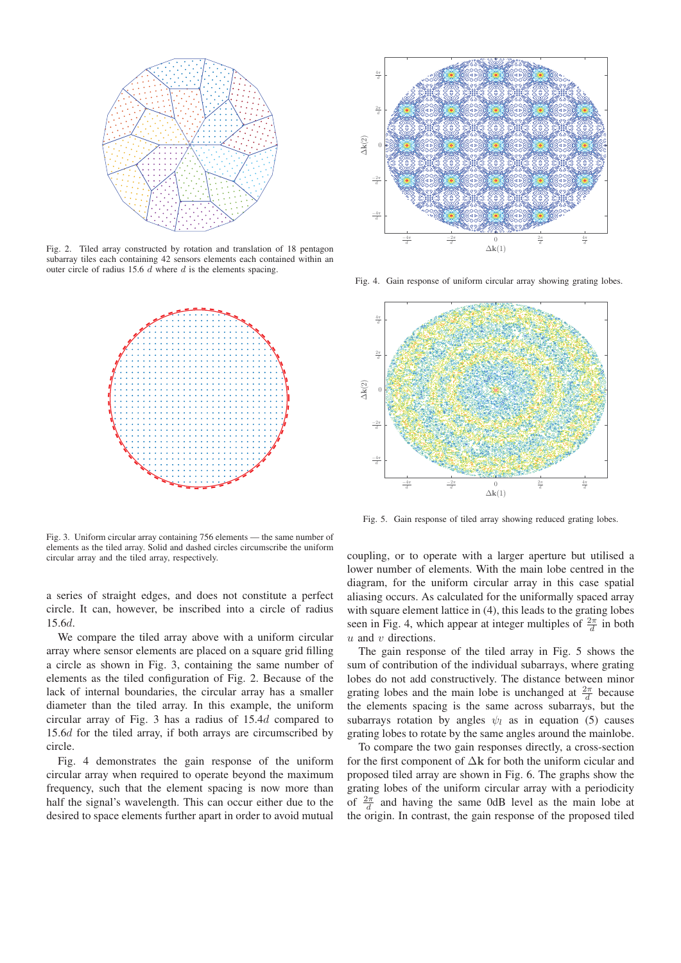

Fig. 2. Tiled array constructed by rotation and translation of 18 pentagon subarray tiles each containing 42 sensors elements each contained within an outer circle of radius 15.6 d where d is the elements spacing.



Fig. 3. Uniform circular array containing 756 elements — the same number of elements as the tiled array. Solid and dashed circles circumscribe the uniform circular array and the tiled array, respectively.

a series of straight edges, and does not constitute a perfect circle. It can, however, be inscribed into a circle of radius 15.6d.

We compare the tiled array above with a uniform circular array where sensor elements are placed on a square grid filling a circle as shown in Fig. 3, containing the same number of elements as the tiled configuration of Fig. 2. Because of the lack of internal boundaries, the circular array has a smaller diameter than the tiled array. In this example, the uniform circular array of Fig. 3 has a radius of 15.4d compared to 15.6d for the tiled array, if both arrays are circumscribed by circle.

Fig. 4 demonstrates the gain response of the uniform circular array when required to operate beyond the maximum frequency, such that the element spacing is now more than half the signal's wavelength. This can occur either due to the desired to space elements further apart in order to avoid mutual



Fig. 4. Gain response of uniform circular array showing grating lobes.



Fig. 5. Gain response of tiled array showing reduced grating lobes.

coupling, or to operate with a larger aperture but utilised a lower number of elements. With the main lobe centred in the diagram, for the uniform circular array in this case spatial aliasing occurs. As calculated for the uniformally spaced array with square element lattice in (4), this leads to the grating lobes seen in Fig. 4, which appear at integer multiples of  $\frac{2\pi}{d}$  in both  $u$  and  $v$  directions.

The gain response of the tiled array in Fig. 5 shows the sum of contribution of the individual subarrays, where grating lobes do not add constructively. The distance between minor grating lobes and the main lobe is unchanged at  $\frac{2\pi}{d}$  because the elements spacing is the same across subarrays, but the subarrays rotation by angles  $\psi_l$  as in equation (5) causes grating lobes to rotate by the same angles around the mainlobe.

To compare the two gain responses directly, a cross-section for the first component of Δ**k** for both the uniform cicular and proposed tiled array are shown in Fig. 6. The graphs show the grating lobes of the uniform circular array with a periodicity of  $\frac{2\pi}{d}$  and having the same 0dB level as the main lobe at the origin. In contrast, the gain response of the proposed tiled